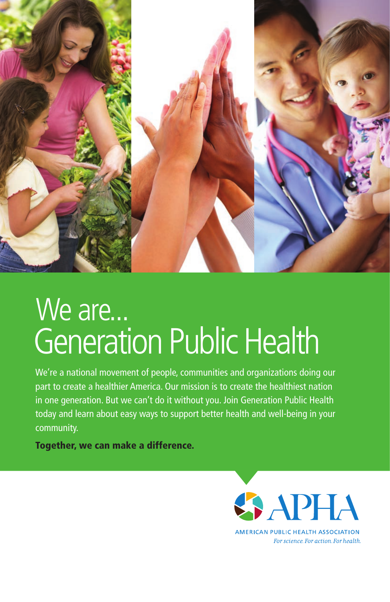

### We are... Generation Public Health

We're a national movement of people, communities and organizations doing our part to create a healthier America. Our mission is to create the healthiest nation in one generation. But we can't do it without you. Join Generation Public Health today and learn about easy ways to support better health and well-being in your community.

Together, we can make a difference.

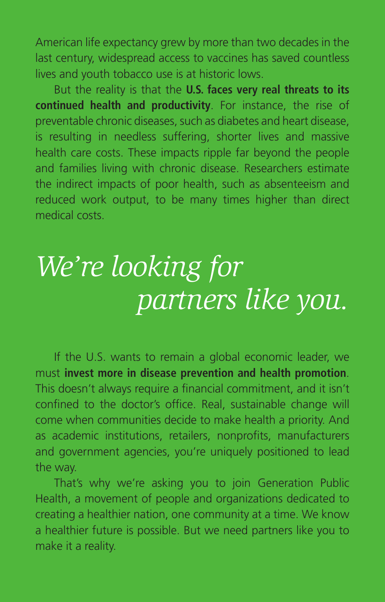American life expectancy grew by more than two decades in the last century, widespread access to vaccines has saved countless lives and youth tobacco use is at historic lows.

But the reality is that the **U.S. faces very real threats to its continued health and productivity**. For instance, the rise of preventable chronic diseases, such as diabetes and heart disease, is resulting in needless suffering, shorter lives and massive health care costs. These impacts ripple far beyond the people and families living with chronic disease. Researchers estimate the indirect impacts of poor health, such as absenteeism and reduced work output, to be many times higher than direct medical costs.

## *We're looking for partners like you.*

If the U.S. wants to remain a global economic leader, we must **invest more in disease prevention and health promotion**. This doesn't always require a financial commitment, and it isn't confined to the doctor's office. Real, sustainable change will come when communities decide to make health a priority. And as academic institutions, retailers, nonprofits, manufacturers and government agencies, you're uniquely positioned to lead the way.

That's why we're asking you to join Generation Public Health, a movement of people and organizations dedicated to creating a healthier nation, one community at a time. We know a healthier future is possible. But we need partners like you to make it a reality.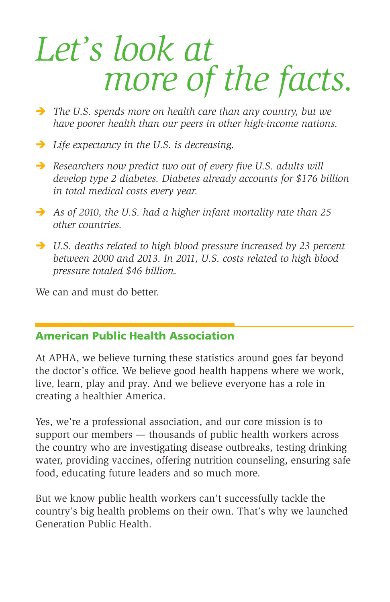# *Let's look at more of the facts.*

- *The U.S. spends more on health care than any country, but we have poorer health than our peers in other high-income nations.*
- *Life expectancy in the U.S. is decreasing.*
- *Researchers now predict two out of every five U.S. adults will develop type 2 diabetes. Diabetes already accounts for \$176 billion in total medical costs every year.*
- *As of 2010, the U.S. had a higher infant mortality rate than 25 other countries.*
- *U.S. deaths related to high blood pressure increased by 23 percent between 2000 and 2013. In 2011, U.S. costs related to high blood pressure totaled \$46 billion.*

We can and must do better.

#### American Public Health Association

At APHA, we believe turning these statistics around goes far beyond the doctor's office. We believe good health happens where we work, live, learn, play and pray. And we believe everyone has a role in creating a healthier America.

Yes, we're a professional association, and our core mission is to support our members — thousands of public health workers across the country who are investigating disease outbreaks, testing drinking water, providing vaccines, offering nutrition counseling, ensuring safe food, educating future leaders and so much more.

But we know public health workers can't successfully tackle the country's big health problems on their own. That's why we launched Generation Public Health.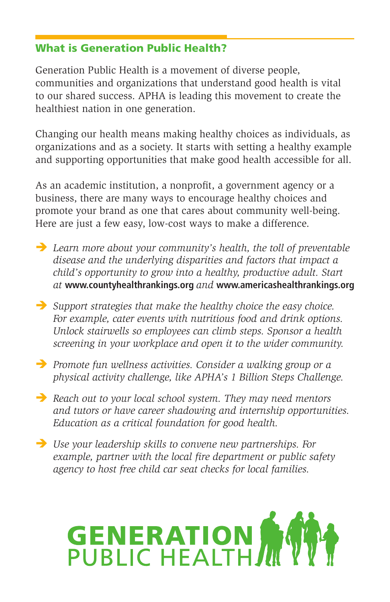#### What is Generation Public Health?

Generation Public Health is a movement of diverse people, communities and organizations that understand good health is vital to our shared success. APHA is leading this movement to create the healthiest nation in one generation.

Changing our health means making healthy choices as individuals, as organizations and as a society. It starts with setting a healthy example and supporting opportunities that make good health accessible for all.

As an academic institution, a nonprofit, a government agency or a business, there are many ways to encourage healthy choices and promote your brand as one that cares about community well-being. Here are just a few easy, low-cost ways to make a difference.

- *Learn more about your community's health, the toll of preventable disease and the underlying disparities and factors that impact a child's opportunity to grow into a healthy, productive adult. Start at* **www.countyhealthrankings.org** *and* **www.americashealthrankings.org**
- *Support strategies that make the healthy choice the easy choice. For example, cater events with nutritious food and drink options. Unlock stairwells so employees can climb steps. Sponsor a health screening in your workplace and open it to the wider community.*
- *Promote fun wellness activities. Consider a walking group or a physical activity challenge, like APHA's 1 Billion Steps Challenge.*
- *Reach out to your local school system. They may need mentors and tutors or have career shadowing and internship opportunities. Education as a critical foundation for good health.*
- *Use your leadership skills to convene new partnerships. For example, partner with the local fire department or public safety agency to host free child car seat checks for local families.*

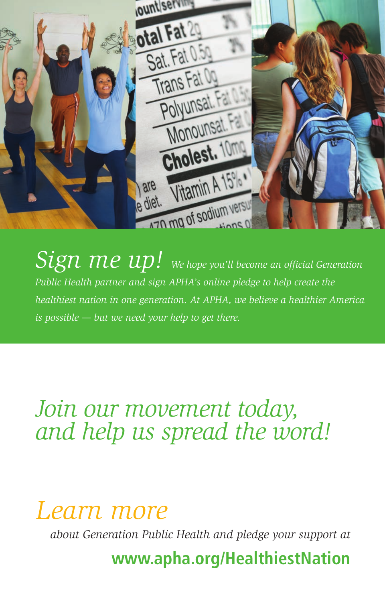ount/serving otal Fat Sat. Fat O. Trans Fat 0 Polyunsa Monouns Cholest. 10 Vitamin A 15° are a diet. 470 mg of sodium

*Sign me up! We hope you'll become an official Generation Public Health partner and sign APHA's online pledge to help create the healthiest nation in one generation. At APHA, we believe a healthier America is possible — but we need your help to get there.*

*Join our movement today, and help us spread the word!* 

### *Learn more*

*about Generation Public Health and pledge your support at* 

**www.apha.org/HealthiestNation**